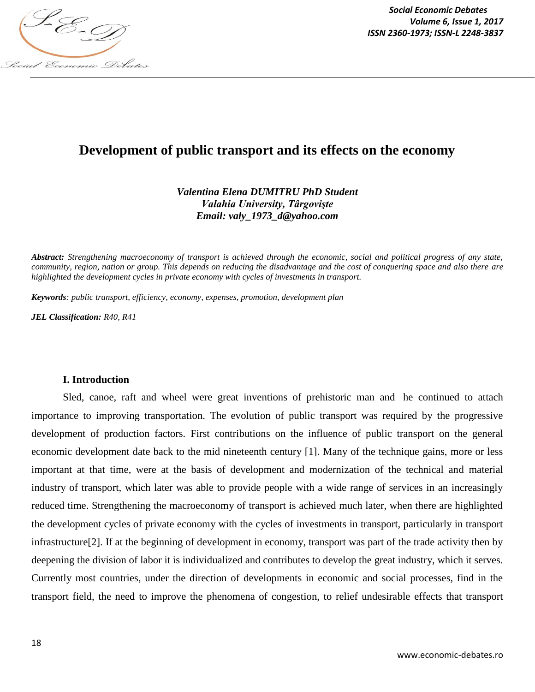

# **Development of public transport and its effects on the economy**

*Valentina Elena DUMITRU PhD Student Valahia University, Târgovişte Email: valy\_1973\_d@yahoo.com*

*Abstract: Strengthening macroeconomy of transport is achieved through the economic, social and political progress of any state, community, region, nation or group. This depends on reducing the disadvantage and the cost of conquering space and also there are highlighted the development cycles in private economy with cycles of investments in transport.*

*Keywords: public transport, efficiency, economy, expenses, promotion, development plan*

*JEL Classification: R40, R41*

### **I. Introduction**

Sled, canoe, raft and wheel were great inventions of prehistoric man and he continued to attach importance to improving transportation. The evolution of public transport was required by the progressive development of production factors. First contributions on the influence of public transport on the general economic development date back to the mid nineteenth century [1]. Many of the technique gains, more or less important at that time, were at the basis of development and modernization of the technical and material industry of transport, which later was able to provide people with a wide range of services in an increasingly reduced time. Strengthening the macroeconomy of transport is achieved much later, when there are highlighted the development cycles of private economy with the cycles of investments in transport, particularly in transport infrastructure[2]. If at the beginning of development in economy, transport was part of the trade activity then by deepening the division of labor it is individualized and contributes to develop the great industry, which it serves. Currently most countries, under the direction of developments in economic and social processes, find in the transport field, the need to improve the phenomena of congestion, to relief undesirable effects that transport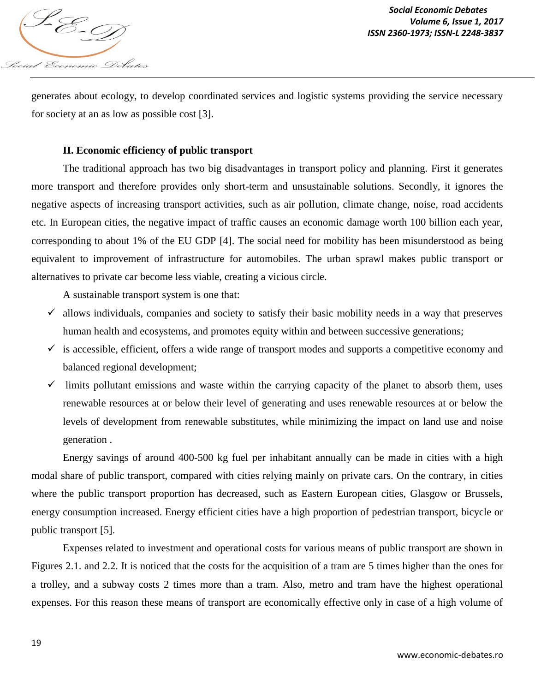

generates about ecology, to develop coordinated services and logistic systems providing the service necessary for society at an as low as possible cost [3].

## **II. Economic efficiency of public transport**

The traditional approach has two big disadvantages in transport policy and planning. First it generates more transport and therefore provides only short-term and unsustainable solutions. Secondly, it ignores the negative aspects of increasing transport activities, such as air pollution, climate change, noise, road accidents etc. In European cities, the negative impact of traffic causes an economic damage worth 100 billion each year, corresponding to about 1% of the EU GDP [4]. The social need for mobility has been misunderstood as being equivalent to improvement of infrastructure for automobiles. The urban sprawl makes public transport or alternatives to private car become less viable, creating a vicious circle.

A sustainable transport system is one that:

- $\checkmark$  allows individuals, companies and society to satisfy their basic mobility needs in a way that preserves human health and ecosystems, and promotes equity within and between successive generations;
- $\checkmark$  is accessible, efficient, offers a wide range of transport modes and supports a competitive economy and balanced regional development;
- $\checkmark$  limits pollutant emissions and waste within the carrying capacity of the planet to absorb them, uses renewable resources at or below their level of generating and uses renewable resources at or below the levels of development from renewable substitutes, while minimizing the impact on land use and noise generation .

Energy savings of around 400-500 kg fuel per inhabitant annually can be made in cities with a high modal share of public transport, compared with cities relying mainly on private cars. On the contrary, in cities where the public transport proportion has decreased, such as Eastern European cities, Glasgow or Brussels, energy consumption increased. Energy efficient cities have a high proportion of pedestrian transport, bicycle or public transport [5].

Expenses related to investment and operational costs for various means of public transport are shown in Figures 2.1. and 2.2. It is noticed that the costs for the acquisition of a tram are 5 times higher than the ones for a trolley, and a subway costs 2 times more than a tram. Also, metro and tram have the highest operational expenses. For this reason these means of transport are economically effective only in case of a high volume of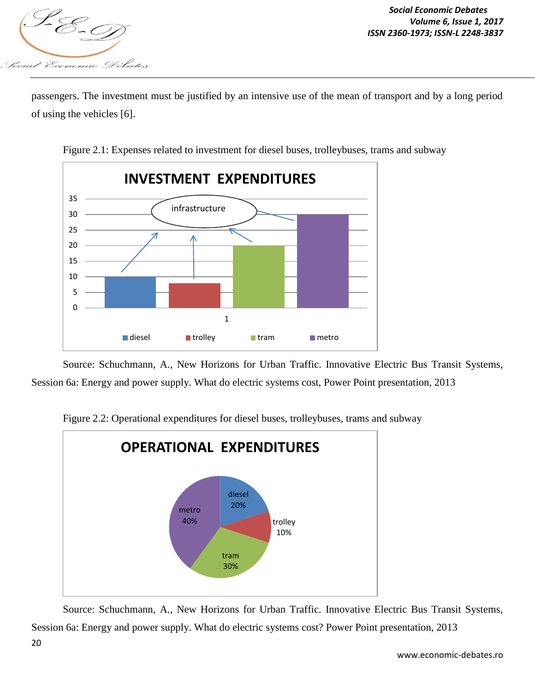

passengers. The investment must be justified by an intensive use of the mean of transport and by a long period of using the vehicles [6].



Figure 2.1: Expenses related to investment for diesel buses, trolleybuses, trams and subway

Source: Schuchmann, A., New Horizons for Urban Traffic. Innovative Electric Bus Transit Systems, Session 6a: Energy and power supply. What do electric systems cost, Power Point presentation, 2013



Figure 2.2: Operational expenditures for diesel buses, trolleybuses, trams and subway

Source: Schuchmann, A., New Horizons for Urban Traffic. Innovative Electric Bus Transit Systems, Session 6a: Energy and power supply. What do electric systems cost? Power Point presentation, 2013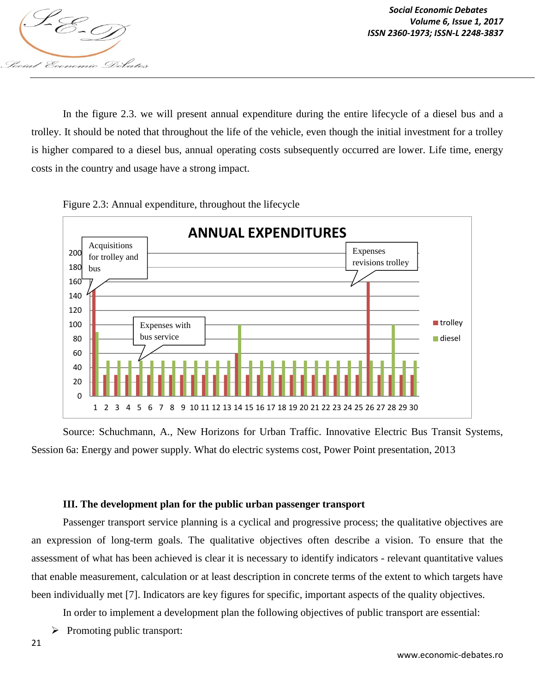

*Social Economic Debates Volume 6, Issue 1, 2017*

In the figure 2.3. we will present annual expenditure during the entire lifecycle of a diesel bus and a trolley. It should be noted that throughout the life of the vehicle, even though the initial investment for a trolley is higher compared to a diesel bus, annual operating costs subsequently occurred are lower. Life time, energy costs in the country and usage have a strong impact.





Source: Schuchmann, A., New Horizons for Urban Traffic. Innovative Electric Bus Transit Systems, Session 6a: Energy and power supply. What do electric systems cost, Power Point presentation, 2013

#### **III. The development plan for the public urban passenger transport**

Passenger transport service planning is a cyclical and progressive process; the qualitative objectives are an expression of long-term goals. The qualitative objectives often describe a vision. To ensure that the assessment of what has been achieved is clear it is necessary to identify indicators - relevant quantitative values that enable measurement, calculation or at least description in concrete terms of the extent to which targets have been individually met [7]. Indicators are key figures for specific, important aspects of the quality objectives.

In order to implement a development plan the following objectives of public transport are essential:

 $\triangleright$  Promoting public transport: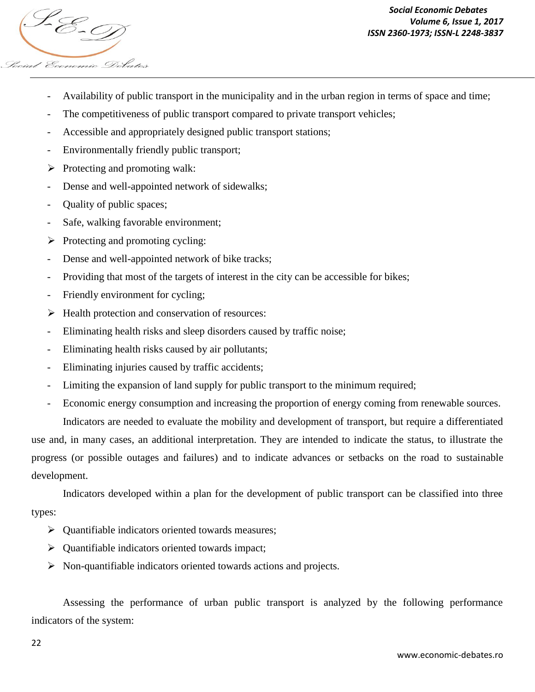

- Availability of public transport in the municipality and in the urban region in terms of space and time;
- The competitiveness of public transport compared to private transport vehicles;
- Accessible and appropriately designed public transport stations;
- Environmentally friendly public transport;
- $\triangleright$  Protecting and promoting walk:
- Dense and well-appointed network of sidewalks;
- Quality of public spaces;
- Safe, walking favorable environment;
- $\triangleright$  Protecting and promoting cycling:
- Dense and well-appointed network of bike tracks;
- Providing that most of the targets of interest in the city can be accessible for bikes;
- Friendly environment for cycling;
- $\triangleright$  Health protection and conservation of resources:
- Eliminating health risks and sleep disorders caused by traffic noise;
- Eliminating health risks caused by air pollutants;
- Eliminating injuries caused by traffic accidents;
- Limiting the expansion of land supply for public transport to the minimum required;
- Economic energy consumption and increasing the proportion of energy coming from renewable sources.

Indicators are needed to evaluate the mobility and development of transport, but require a differentiated use and, in many cases, an additional interpretation. They are intended to indicate the status, to illustrate the progress (or possible outages and failures) and to indicate advances or setbacks on the road to sustainable development.

Indicators developed within a plan for the development of public transport can be classified into three types:

- $\triangleright$  Quantifiable indicators oriented towards measures;
- $\triangleright$  Quantifiable indicators oriented towards impact;
- $\triangleright$  Non-quantifiable indicators oriented towards actions and projects.

Assessing the performance of urban public transport is analyzed by the following performance indicators of the system: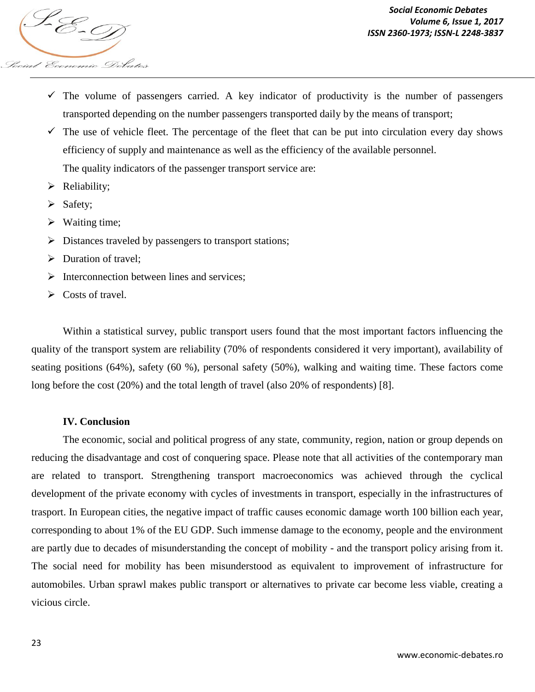

- $\checkmark$  The volume of passengers carried. A key indicator of productivity is the number of passengers transported depending on the number passengers transported daily by the means of transport;
- $\checkmark$  The use of vehicle fleet. The percentage of the fleet that can be put into circulation every day shows efficiency of supply and maintenance as well as the efficiency of the available personnel.

The quality indicators of the passenger transport service are:

- $\triangleright$  Reliability;
- $\triangleright$  Safety;
- $\triangleright$  Waiting time;
- $\triangleright$  Distances traveled by passengers to transport stations;
- $\triangleright$  Duration of travel:
- $\triangleright$  Interconnection between lines and services;
- $\triangleright$  Costs of travel.

Within a statistical survey, public transport users found that the most important factors influencing the quality of the transport system are reliability (70% of respondents considered it very important), availability of seating positions (64%), safety (60 %), personal safety (50%), walking and waiting time. These factors come long before the cost (20%) and the total length of travel (also 20% of respondents) [8].

#### **IV. Conclusion**

The economic, social and political progress of any state, community, region, nation or group depends on reducing the disadvantage and cost of conquering space. Please note that all activities of the contemporary man are related to transport. Strengthening transport macroeconomics was achieved through the cyclical development of the private economy with cycles of investments in transport, especially in the infrastructures of trasport. In European cities, the negative impact of traffic causes economic damage worth 100 billion each year, corresponding to about 1% of the EU GDP. Such immense damage to the economy, people and the environment are partly due to decades of misunderstanding the concept of mobility - and the transport policy arising from it. The social need for mobility has been misunderstood as equivalent to improvement of infrastructure for automobiles. Urban sprawl makes public transport or alternatives to private car become less viable, creating a vicious circle.